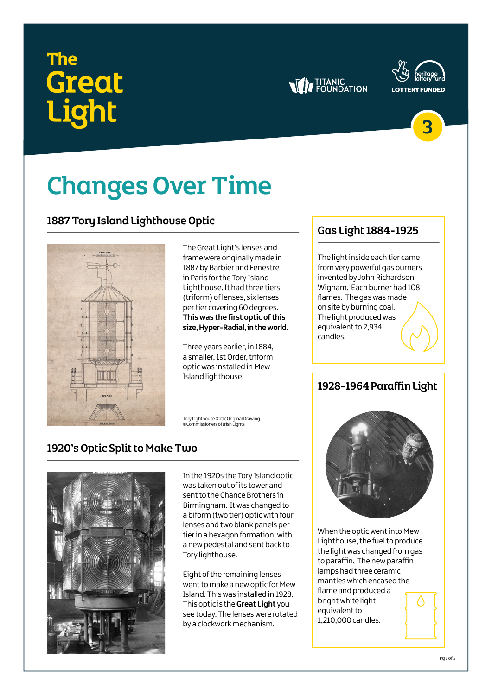# The **Great**<br>Light







## Changes Over Time

#### 1887 Tory Island Lighthouse Optic



The Great Light's lenses and frame were originally made in 1887 by Barbier and Fenestre in Paris for the Tory Island Lighthouse. It had three tiers (triform) of lenses, six lenses per tier covering 60 degrees. **This was the first optic of this size, Hyper-Radial, in the world.**

Three years earlier, in 1884, a smaller, 1st Order, triform optic was installed in Mew Island lighthouse.

Tory Lighthouse Optic Original Drawing ©Commissioners of Irish Lights

#### 1920's Optic Split to Make Two



In the 1920s the Tory Island optic was taken out of its tower and sent to the Chance Brothers in Birmingham. It was changed to a biform (two tier) optic with four lenses and two blank panels per tier in a hexagon formation, with a new pedestal and sent back to Tory lighthouse.

Eight of the remaining lenses went to make a new optic for Mew Island. This was installed in 1928. This optic is the **Great Light** you see today. The lenses were rotated by a clockwork mechanism.

#### Gas Light 1884-1925

The light inside each tier came from very powerful gas burners invented by John Richardson Wigham. Each burner had 108 flames. The gas was made on site by burning coal. The light produced was equivalent to 2,934 candles.

#### 1928-1964 Paraffin Light



When the optic went into Mew Lighthouse, the fuel to produce the light was changed from gas to paraffin. The new paraffin lamps had three ceramic mantles which encased the flame and produced a bright white light equivalent to 1,210,000 candles.